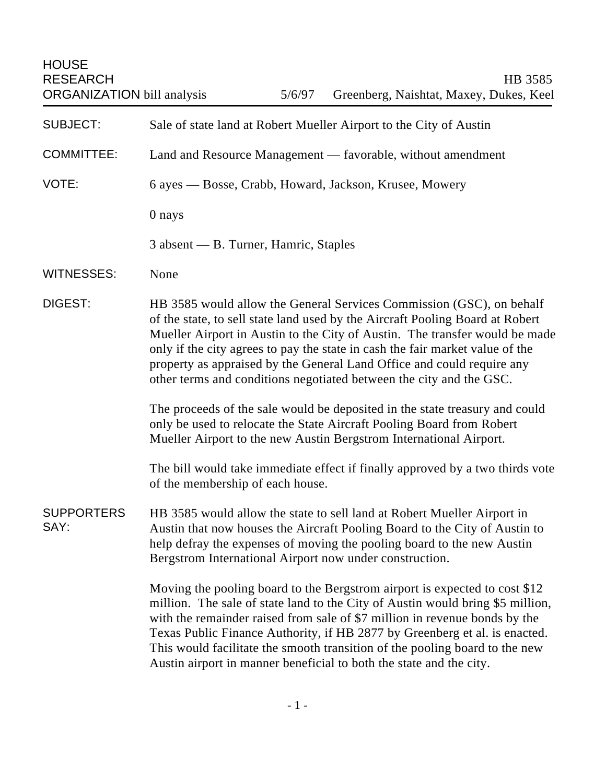HOUSE

| <b>SUBJECT:</b>           | Sale of state land at Robert Mueller Airport to the City of Austin                                                                                                                                                                                                                                                                                                                                                                                                             |
|---------------------------|--------------------------------------------------------------------------------------------------------------------------------------------------------------------------------------------------------------------------------------------------------------------------------------------------------------------------------------------------------------------------------------------------------------------------------------------------------------------------------|
| <b>COMMITTEE:</b>         | Land and Resource Management — favorable, without amendment                                                                                                                                                                                                                                                                                                                                                                                                                    |
| VOTE:                     | 6 ayes — Bosse, Crabb, Howard, Jackson, Krusee, Mowery                                                                                                                                                                                                                                                                                                                                                                                                                         |
|                           | 0 nays                                                                                                                                                                                                                                                                                                                                                                                                                                                                         |
|                           | 3 absent — B. Turner, Hamric, Staples                                                                                                                                                                                                                                                                                                                                                                                                                                          |
| <b>WITNESSES:</b>         | None                                                                                                                                                                                                                                                                                                                                                                                                                                                                           |
| <b>DIGEST:</b>            | HB 3585 would allow the General Services Commission (GSC), on behalf<br>of the state, to sell state land used by the Aircraft Pooling Board at Robert<br>Mueller Airport in Austin to the City of Austin. The transfer would be made<br>only if the city agrees to pay the state in cash the fair market value of the<br>property as appraised by the General Land Office and could require any<br>other terms and conditions negotiated between the city and the GSC.         |
|                           | The proceeds of the sale would be deposited in the state treasury and could<br>only be used to relocate the State Aircraft Pooling Board from Robert<br>Mueller Airport to the new Austin Bergstrom International Airport.                                                                                                                                                                                                                                                     |
|                           | The bill would take immediate effect if finally approved by a two thirds vote<br>of the membership of each house.                                                                                                                                                                                                                                                                                                                                                              |
| <b>SUPPORTERS</b><br>SAY: | HB 3585 would allow the state to sell land at Robert Mueller Airport in<br>Austin that now houses the Aircraft Pooling Board to the City of Austin to<br>help defray the expenses of moving the pooling board to the new Austin<br>Bergstrom International Airport now under construction.                                                                                                                                                                                     |
|                           | Moving the pooling board to the Bergstrom airport is expected to cost \$12<br>million. The sale of state land to the City of Austin would bring \$5 million,<br>with the remainder raised from sale of \$7 million in revenue bonds by the<br>Texas Public Finance Authority, if HB 2877 by Greenberg et al. is enacted.<br>This would facilitate the smooth transition of the pooling board to the new<br>Austin airport in manner beneficial to both the state and the city. |